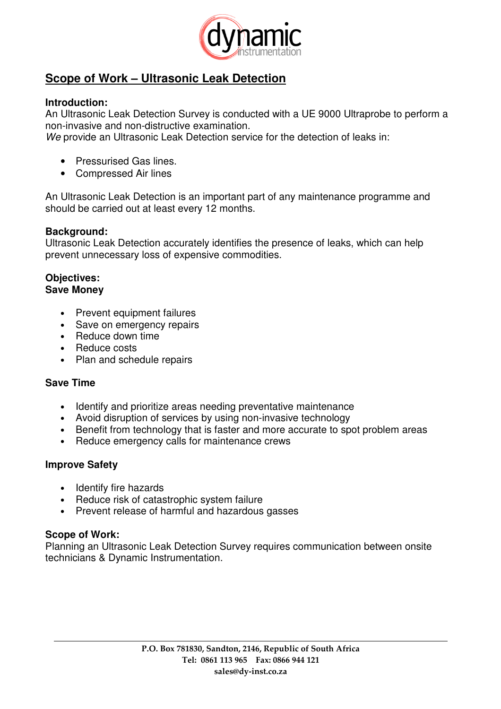

# **Scope of Work – Ultrasonic Leak Detection**

## **Introduction:**

An Ultrasonic Leak Detection Survey is conducted with a UE 9000 Ultraprobe to perform a non-invasive and non-distructive examination.

We provide an Ultrasonic Leak Detection service for the detection of leaks in:

- Pressurised Gas lines.
- Compressed Air lines

An Ultrasonic Leak Detection is an important part of any maintenance programme and should be carried out at least every 12 months.

# **Background:**

Ultrasonic Leak Detection accurately identifies the presence of leaks, which can help prevent unnecessary loss of expensive commodities.

#### **Objectives: Save Money**

- Prevent equipment failures
- Save on emergency repairs
- Reduce down time
- Reduce costs
- Plan and schedule repairs

# **Save Time**

- Identify and prioritize areas needing preventative maintenance
- Avoid disruption of services by using non-invasive technology
- Benefit from technology that is faster and more accurate to spot problem areas
- Reduce emergency calls for maintenance crews

# **Improve Safety**

- Identify fire hazards
- Reduce risk of catastrophic system failure
- Prevent release of harmful and hazardous gasses

### **Scope of Work:**

Planning an Ultrasonic Leak Detection Survey requires communication between onsite technicians & Dynamic Instrumentation.